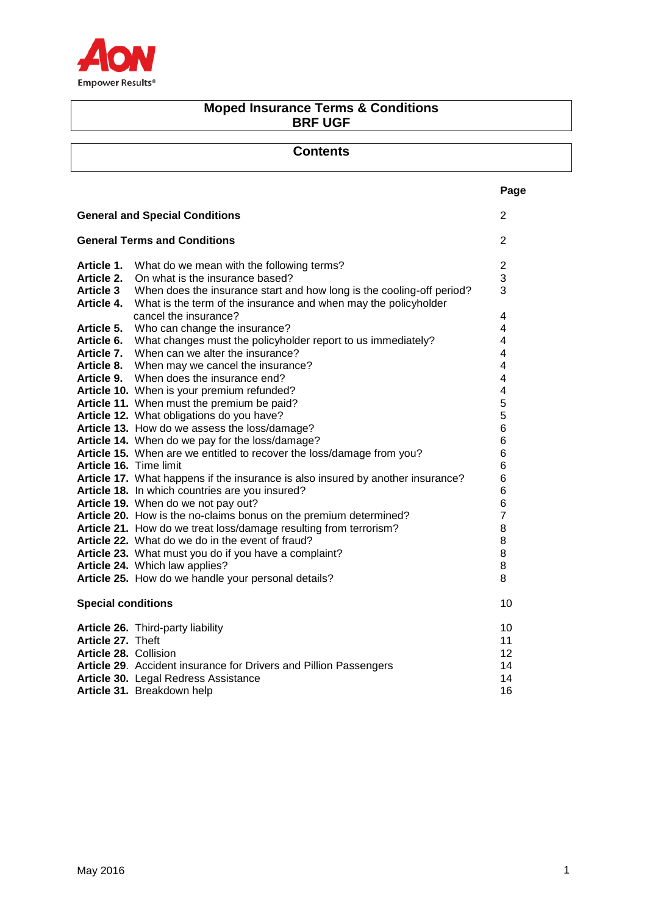

# **Moped Insurance Terms & Conditions BRF UGF**

| Page<br><b>General and Special Conditions</b><br>2<br><b>General Terms and Conditions</b><br>2<br>Article 1.<br>What do we mean with the following terms?<br>$\overline{c}$<br>3<br>Article 2.<br>On what is the insurance based?<br>3<br><b>Article 3</b><br>When does the insurance start and how long is the cooling-off period?<br>Article 4.<br>What is the term of the insurance and when may the policyholder<br>cancel the insurance?<br>4<br>4<br>Article 5.<br>Who can change the insurance?<br>What changes must the policyholder report to us immediately?<br>4<br>Article 6.<br>When can we alter the insurance?<br>Article 7.<br>4<br>Article 8.<br>When may we cancel the insurance?<br>4<br>When does the insurance end?<br>4<br>Article 9.<br>Article 10. When is your premium refunded?<br>4<br>5<br>Article 11. When must the premium be paid?<br>5<br>Article 12. What obligations do you have?<br>Article 13. How do we assess the loss/damage?<br>6<br>6<br>Article 14. When do we pay for the loss/damage?<br>Article 15. When are we entitled to recover the loss/damage from you?<br>6<br>Article 16. Time limit<br>6<br>Article 17. What happens if the insurance is also insured by another insurance?<br>6<br>Article 18. In which countries are you insured?<br>6<br>Article 19. When do we not pay out?<br>6<br>Article 20. How is the no-claims bonus on the premium determined?<br>7<br>Article 21. How do we treat loss/damage resulting from terrorism?<br>8<br>Article 22. What do we do in the event of fraud?<br>8<br>Article 23. What must you do if you have a complaint?<br>8<br>Article 24. Which law applies?<br>8<br>Article 25. How do we handle your personal details?<br>8<br><b>Special conditions</b><br>10<br>Article 26. Third-party liability<br>10<br>Article 27. Theft<br>11<br>Article 28. Collision<br>12<br>Article 29. Accident insurance for Drivers and Pillion Passengers<br>14<br>Article 30. Legal Redress Assistance<br>14<br>16<br>Article 31. Breakdown help | <b>Contents</b> |  |
|-------------------------------------------------------------------------------------------------------------------------------------------------------------------------------------------------------------------------------------------------------------------------------------------------------------------------------------------------------------------------------------------------------------------------------------------------------------------------------------------------------------------------------------------------------------------------------------------------------------------------------------------------------------------------------------------------------------------------------------------------------------------------------------------------------------------------------------------------------------------------------------------------------------------------------------------------------------------------------------------------------------------------------------------------------------------------------------------------------------------------------------------------------------------------------------------------------------------------------------------------------------------------------------------------------------------------------------------------------------------------------------------------------------------------------------------------------------------------------------------------------------------------------------------------------------------------------------------------------------------------------------------------------------------------------------------------------------------------------------------------------------------------------------------------------------------------------------------------------------------------------------------------------------------------------------------------------------------------------------------------------------------------------|-----------------|--|
|                                                                                                                                                                                                                                                                                                                                                                                                                                                                                                                                                                                                                                                                                                                                                                                                                                                                                                                                                                                                                                                                                                                                                                                                                                                                                                                                                                                                                                                                                                                                                                                                                                                                                                                                                                                                                                                                                                                                                                                                                               |                 |  |
|                                                                                                                                                                                                                                                                                                                                                                                                                                                                                                                                                                                                                                                                                                                                                                                                                                                                                                                                                                                                                                                                                                                                                                                                                                                                                                                                                                                                                                                                                                                                                                                                                                                                                                                                                                                                                                                                                                                                                                                                                               |                 |  |
|                                                                                                                                                                                                                                                                                                                                                                                                                                                                                                                                                                                                                                                                                                                                                                                                                                                                                                                                                                                                                                                                                                                                                                                                                                                                                                                                                                                                                                                                                                                                                                                                                                                                                                                                                                                                                                                                                                                                                                                                                               |                 |  |
|                                                                                                                                                                                                                                                                                                                                                                                                                                                                                                                                                                                                                                                                                                                                                                                                                                                                                                                                                                                                                                                                                                                                                                                                                                                                                                                                                                                                                                                                                                                                                                                                                                                                                                                                                                                                                                                                                                                                                                                                                               |                 |  |
|                                                                                                                                                                                                                                                                                                                                                                                                                                                                                                                                                                                                                                                                                                                                                                                                                                                                                                                                                                                                                                                                                                                                                                                                                                                                                                                                                                                                                                                                                                                                                                                                                                                                                                                                                                                                                                                                                                                                                                                                                               |                 |  |
|                                                                                                                                                                                                                                                                                                                                                                                                                                                                                                                                                                                                                                                                                                                                                                                                                                                                                                                                                                                                                                                                                                                                                                                                                                                                                                                                                                                                                                                                                                                                                                                                                                                                                                                                                                                                                                                                                                                                                                                                                               |                 |  |
|                                                                                                                                                                                                                                                                                                                                                                                                                                                                                                                                                                                                                                                                                                                                                                                                                                                                                                                                                                                                                                                                                                                                                                                                                                                                                                                                                                                                                                                                                                                                                                                                                                                                                                                                                                                                                                                                                                                                                                                                                               |                 |  |
|                                                                                                                                                                                                                                                                                                                                                                                                                                                                                                                                                                                                                                                                                                                                                                                                                                                                                                                                                                                                                                                                                                                                                                                                                                                                                                                                                                                                                                                                                                                                                                                                                                                                                                                                                                                                                                                                                                                                                                                                                               |                 |  |
|                                                                                                                                                                                                                                                                                                                                                                                                                                                                                                                                                                                                                                                                                                                                                                                                                                                                                                                                                                                                                                                                                                                                                                                                                                                                                                                                                                                                                                                                                                                                                                                                                                                                                                                                                                                                                                                                                                                                                                                                                               |                 |  |
|                                                                                                                                                                                                                                                                                                                                                                                                                                                                                                                                                                                                                                                                                                                                                                                                                                                                                                                                                                                                                                                                                                                                                                                                                                                                                                                                                                                                                                                                                                                                                                                                                                                                                                                                                                                                                                                                                                                                                                                                                               |                 |  |
|                                                                                                                                                                                                                                                                                                                                                                                                                                                                                                                                                                                                                                                                                                                                                                                                                                                                                                                                                                                                                                                                                                                                                                                                                                                                                                                                                                                                                                                                                                                                                                                                                                                                                                                                                                                                                                                                                                                                                                                                                               |                 |  |
|                                                                                                                                                                                                                                                                                                                                                                                                                                                                                                                                                                                                                                                                                                                                                                                                                                                                                                                                                                                                                                                                                                                                                                                                                                                                                                                                                                                                                                                                                                                                                                                                                                                                                                                                                                                                                                                                                                                                                                                                                               |                 |  |
|                                                                                                                                                                                                                                                                                                                                                                                                                                                                                                                                                                                                                                                                                                                                                                                                                                                                                                                                                                                                                                                                                                                                                                                                                                                                                                                                                                                                                                                                                                                                                                                                                                                                                                                                                                                                                                                                                                                                                                                                                               |                 |  |
|                                                                                                                                                                                                                                                                                                                                                                                                                                                                                                                                                                                                                                                                                                                                                                                                                                                                                                                                                                                                                                                                                                                                                                                                                                                                                                                                                                                                                                                                                                                                                                                                                                                                                                                                                                                                                                                                                                                                                                                                                               |                 |  |
|                                                                                                                                                                                                                                                                                                                                                                                                                                                                                                                                                                                                                                                                                                                                                                                                                                                                                                                                                                                                                                                                                                                                                                                                                                                                                                                                                                                                                                                                                                                                                                                                                                                                                                                                                                                                                                                                                                                                                                                                                               |                 |  |
|                                                                                                                                                                                                                                                                                                                                                                                                                                                                                                                                                                                                                                                                                                                                                                                                                                                                                                                                                                                                                                                                                                                                                                                                                                                                                                                                                                                                                                                                                                                                                                                                                                                                                                                                                                                                                                                                                                                                                                                                                               |                 |  |
|                                                                                                                                                                                                                                                                                                                                                                                                                                                                                                                                                                                                                                                                                                                                                                                                                                                                                                                                                                                                                                                                                                                                                                                                                                                                                                                                                                                                                                                                                                                                                                                                                                                                                                                                                                                                                                                                                                                                                                                                                               |                 |  |
|                                                                                                                                                                                                                                                                                                                                                                                                                                                                                                                                                                                                                                                                                                                                                                                                                                                                                                                                                                                                                                                                                                                                                                                                                                                                                                                                                                                                                                                                                                                                                                                                                                                                                                                                                                                                                                                                                                                                                                                                                               |                 |  |
|                                                                                                                                                                                                                                                                                                                                                                                                                                                                                                                                                                                                                                                                                                                                                                                                                                                                                                                                                                                                                                                                                                                                                                                                                                                                                                                                                                                                                                                                                                                                                                                                                                                                                                                                                                                                                                                                                                                                                                                                                               |                 |  |
|                                                                                                                                                                                                                                                                                                                                                                                                                                                                                                                                                                                                                                                                                                                                                                                                                                                                                                                                                                                                                                                                                                                                                                                                                                                                                                                                                                                                                                                                                                                                                                                                                                                                                                                                                                                                                                                                                                                                                                                                                               |                 |  |
|                                                                                                                                                                                                                                                                                                                                                                                                                                                                                                                                                                                                                                                                                                                                                                                                                                                                                                                                                                                                                                                                                                                                                                                                                                                                                                                                                                                                                                                                                                                                                                                                                                                                                                                                                                                                                                                                                                                                                                                                                               |                 |  |
|                                                                                                                                                                                                                                                                                                                                                                                                                                                                                                                                                                                                                                                                                                                                                                                                                                                                                                                                                                                                                                                                                                                                                                                                                                                                                                                                                                                                                                                                                                                                                                                                                                                                                                                                                                                                                                                                                                                                                                                                                               |                 |  |
|                                                                                                                                                                                                                                                                                                                                                                                                                                                                                                                                                                                                                                                                                                                                                                                                                                                                                                                                                                                                                                                                                                                                                                                                                                                                                                                                                                                                                                                                                                                                                                                                                                                                                                                                                                                                                                                                                                                                                                                                                               |                 |  |
|                                                                                                                                                                                                                                                                                                                                                                                                                                                                                                                                                                                                                                                                                                                                                                                                                                                                                                                                                                                                                                                                                                                                                                                                                                                                                                                                                                                                                                                                                                                                                                                                                                                                                                                                                                                                                                                                                                                                                                                                                               |                 |  |
|                                                                                                                                                                                                                                                                                                                                                                                                                                                                                                                                                                                                                                                                                                                                                                                                                                                                                                                                                                                                                                                                                                                                                                                                                                                                                                                                                                                                                                                                                                                                                                                                                                                                                                                                                                                                                                                                                                                                                                                                                               |                 |  |
|                                                                                                                                                                                                                                                                                                                                                                                                                                                                                                                                                                                                                                                                                                                                                                                                                                                                                                                                                                                                                                                                                                                                                                                                                                                                                                                                                                                                                                                                                                                                                                                                                                                                                                                                                                                                                                                                                                                                                                                                                               |                 |  |
|                                                                                                                                                                                                                                                                                                                                                                                                                                                                                                                                                                                                                                                                                                                                                                                                                                                                                                                                                                                                                                                                                                                                                                                                                                                                                                                                                                                                                                                                                                                                                                                                                                                                                                                                                                                                                                                                                                                                                                                                                               |                 |  |
|                                                                                                                                                                                                                                                                                                                                                                                                                                                                                                                                                                                                                                                                                                                                                                                                                                                                                                                                                                                                                                                                                                                                                                                                                                                                                                                                                                                                                                                                                                                                                                                                                                                                                                                                                                                                                                                                                                                                                                                                                               |                 |  |
|                                                                                                                                                                                                                                                                                                                                                                                                                                                                                                                                                                                                                                                                                                                                                                                                                                                                                                                                                                                                                                                                                                                                                                                                                                                                                                                                                                                                                                                                                                                                                                                                                                                                                                                                                                                                                                                                                                                                                                                                                               |                 |  |
|                                                                                                                                                                                                                                                                                                                                                                                                                                                                                                                                                                                                                                                                                                                                                                                                                                                                                                                                                                                                                                                                                                                                                                                                                                                                                                                                                                                                                                                                                                                                                                                                                                                                                                                                                                                                                                                                                                                                                                                                                               |                 |  |
|                                                                                                                                                                                                                                                                                                                                                                                                                                                                                                                                                                                                                                                                                                                                                                                                                                                                                                                                                                                                                                                                                                                                                                                                                                                                                                                                                                                                                                                                                                                                                                                                                                                                                                                                                                                                                                                                                                                                                                                                                               |                 |  |
|                                                                                                                                                                                                                                                                                                                                                                                                                                                                                                                                                                                                                                                                                                                                                                                                                                                                                                                                                                                                                                                                                                                                                                                                                                                                                                                                                                                                                                                                                                                                                                                                                                                                                                                                                                                                                                                                                                                                                                                                                               |                 |  |
|                                                                                                                                                                                                                                                                                                                                                                                                                                                                                                                                                                                                                                                                                                                                                                                                                                                                                                                                                                                                                                                                                                                                                                                                                                                                                                                                                                                                                                                                                                                                                                                                                                                                                                                                                                                                                                                                                                                                                                                                                               |                 |  |
|                                                                                                                                                                                                                                                                                                                                                                                                                                                                                                                                                                                                                                                                                                                                                                                                                                                                                                                                                                                                                                                                                                                                                                                                                                                                                                                                                                                                                                                                                                                                                                                                                                                                                                                                                                                                                                                                                                                                                                                                                               |                 |  |
|                                                                                                                                                                                                                                                                                                                                                                                                                                                                                                                                                                                                                                                                                                                                                                                                                                                                                                                                                                                                                                                                                                                                                                                                                                                                                                                                                                                                                                                                                                                                                                                                                                                                                                                                                                                                                                                                                                                                                                                                                               |                 |  |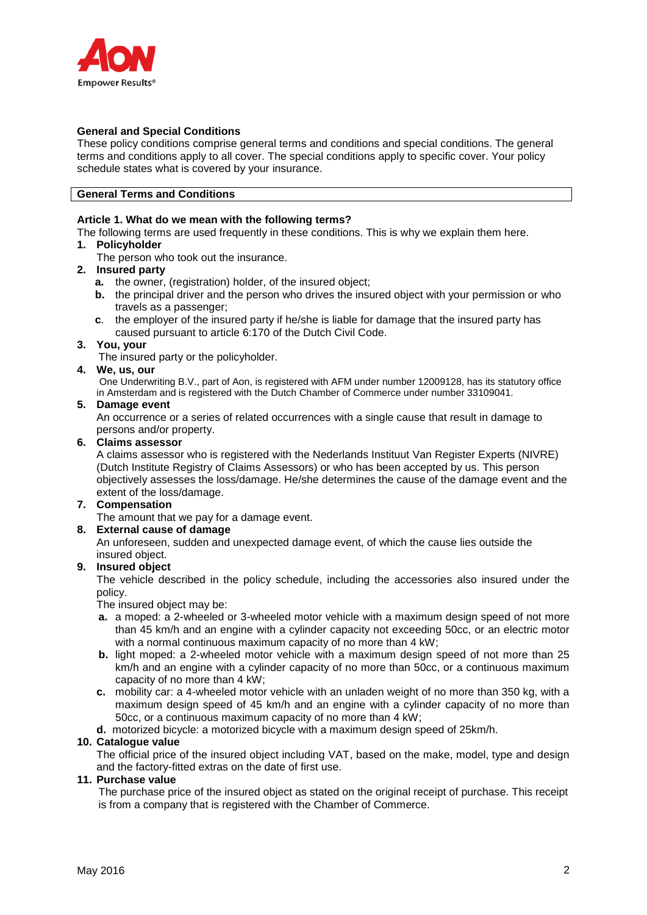

## **General and Special Conditions**

These policy conditions comprise general terms and conditions and special conditions. The general terms and conditions apply to all cover. The special conditions apply to specific cover. Your policy schedule states what is covered by your insurance.

### **General Terms and Conditions**

### **Article 1. What do we mean with the following terms?**

The following terms are used frequently in these conditions. This is why we explain them here.

#### **1. Policyholder**

The person who took out the insurance.

## **2. Insured party**

- **a.** the owner, (registration) holder, of the insured object;
- **b.** the principal driver and the person who drives the insured object with your permission or who travels as a passenger;
- **c**. the employer of the insured party if he/she is liable for damage that the insured party has caused pursuant to article 6:170 of the Dutch Civil Code.

### **3. You, your**

The insured party or the policyholder.

# **4. We, us, our**

One Underwriting B.V., part of Aon, is registered with AFM under number 12009128, has its statutory office in Amsterdam and is registered with the Dutch Chamber of Commerce under number 33109041.

### **5. Damage event**

An occurrence or a series of related occurrences with a single cause that result in damage to persons and/or property.

### **6. Claims assessor**

A claims assessor who is registered with the Nederlands Instituut Van Register Experts (NIVRE) (Dutch Institute Registry of Claims Assessors) or who has been accepted by us. This person objectively assesses the loss/damage. He/she determines the cause of the damage event and the extent of the loss/damage.

#### **7. Compensation**

The amount that we pay for a damage event.

## **8. External cause of damage**

An unforeseen, sudden and unexpected damage event, of which the cause lies outside the insured object.

## **9. Insured object**

The vehicle described in the policy schedule, including the accessories also insured under the policy.

The insured object may be:

- **a.** a moped: a 2-wheeled or 3-wheeled motor vehicle with a maximum design speed of not more than 45 km/h and an engine with a cylinder capacity not exceeding 50cc, or an electric motor with a normal continuous maximum capacity of no more than 4 kW;
- **b.** light moped: a 2-wheeled motor vehicle with a maximum design speed of not more than 25 km/h and an engine with a cylinder capacity of no more than 50cc, or a continuous maximum capacity of no more than 4 kW;
- **c.** mobility car: a 4-wheeled motor vehicle with an unladen weight of no more than 350 kg, with a maximum design speed of 45 km/h and an engine with a cylinder capacity of no more than 50cc, or a continuous maximum capacity of no more than 4 kW;
- **d.** motorized bicycle: a motorized bicycle with a maximum design speed of 25km/h.

## **10. Catalogue value**

The official price of the insured object including VAT, based on the make, model, type and design and the factory-fitted extras on the date of first use.

#### **11. Purchase value**

The purchase price of the insured object as stated on the original receipt of purchase. This receipt is from a company that is registered with the Chamber of Commerce.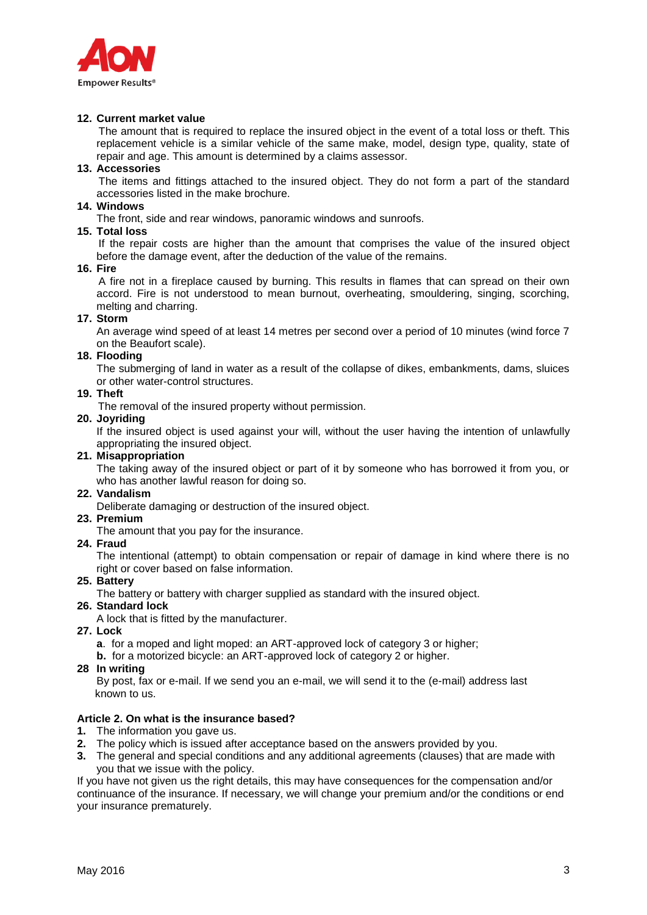

## **12. Current market value**

The amount that is required to replace the insured object in the event of a total loss or theft. This replacement vehicle is a similar vehicle of the same make, model, design type, quality, state of repair and age. This amount is determined by a claims assessor.

#### **13. Accessories**

The items and fittings attached to the insured object. They do not form a part of the standard accessories listed in the make brochure.

#### **14. Windows**

The front, side and rear windows, panoramic windows and sunroofs.

## **15. Total loss**

If the repair costs are higher than the amount that comprises the value of the insured object before the damage event, after the deduction of the value of the remains.

### **16. Fire**

A fire not in a fireplace caused by burning. This results in flames that can spread on their own accord. Fire is not understood to mean burnout, overheating, smouldering, singing, scorching, melting and charring.

#### **17. Storm**

An average wind speed of at least 14 metres per second over a period of 10 minutes (wind force 7 on the Beaufort scale).

#### **18. Flooding**

The submerging of land in water as a result of the collapse of dikes, embankments, dams, sluices or other water-control structures.

#### **19. Theft**

The removal of the insured property without permission.

### **20. Joyriding**

If the insured object is used against your will, without the user having the intention of unlawfully appropriating the insured object.

#### **21. Misappropriation**

The taking away of the insured object or part of it by someone who has borrowed it from you, or who has another lawful reason for doing so.

# **22. Vandalism**

Deliberate damaging or destruction of the insured object.

#### **23. Premium**

The amount that you pay for the insurance.

**24. Fraud**

The intentional (attempt) to obtain compensation or repair of damage in kind where there is no right or cover based on false information.

#### **25. Battery**

The battery or battery with charger supplied as standard with the insured object.

#### **26. Standard lock**

A lock that is fitted by the manufacturer.

- **27. Lock**
	- **a**. for a moped and light moped: an ART-approved lock of category 3 or higher;
	- **b.** for a motorized bicycle: an ART-approved lock of category 2 or higher.

#### **28 In writing**

By post, fax or e-mail. If we send you an e-mail, we will send it to the (e-mail) address last known to us.

## **Article 2. On what is the insurance based?**

- **1.** The information you gave us.
- **2.** The policy which is issued after acceptance based on the answers provided by you.
- **3.** The general and special conditions and any additional agreements (clauses) that are made with you that we issue with the policy.

If you have not given us the right details, this may have consequences for the compensation and/or continuance of the insurance. If necessary, we will change your premium and/or the conditions or end your insurance prematurely.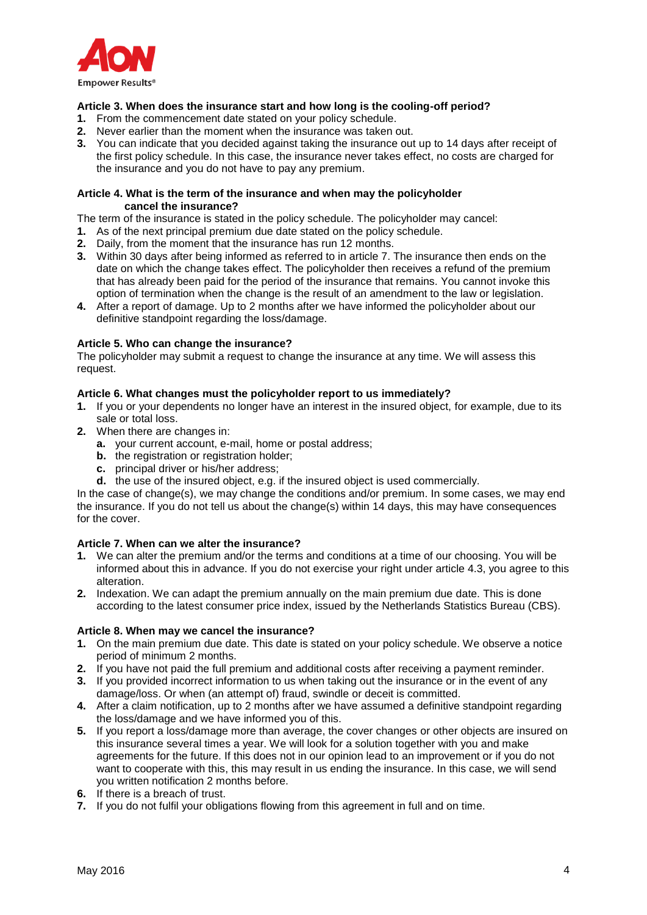

## **Article 3. When does the insurance start and how long is the cooling-off period?**

- **1.** From the commencement date stated on your policy schedule.
- **2.** Never earlier than the moment when the insurance was taken out.
- **3.** You can indicate that you decided against taking the insurance out up to 14 days after receipt of the first policy schedule. In this case, the insurance never takes effect, no costs are charged for the insurance and you do not have to pay any premium.

#### **Article 4. What is the term of the insurance and when may the policyholder cancel the insurance?**

The term of the insurance is stated in the policy schedule. The policyholder may cancel:

- **1.** As of the next principal premium due date stated on the policy schedule.
- **2.** Daily, from the moment that the insurance has run 12 months.
- **3.** Within 30 days after being informed as referred to in article 7. The insurance then ends on the date on which the change takes effect. The policyholder then receives a refund of the premium that has already been paid for the period of the insurance that remains. You cannot invoke this option of termination when the change is the result of an amendment to the law or legislation.
- **4.** After a report of damage. Up to 2 months after we have informed the policyholder about our definitive standpoint regarding the loss/damage.

### **Article 5. Who can change the insurance?**

The policyholder may submit a request to change the insurance at any time. We will assess this request.

### **Article 6. What changes must the policyholder report to us immediately?**

- **1.** If you or your dependents no longer have an interest in the insured object, for example, due to its sale or total loss.
- **2.** When there are changes in:
	- **a.** your current account, e-mail, home or postal address;
	- **b.** the registration or registration holder;
	- **c.** principal driver or his/her address;
	- **d.** the use of the insured object, e.g. if the insured object is used commercially.

In the case of change(s), we may change the conditions and/or premium. In some cases, we may end the insurance. If you do not tell us about the change(s) within 14 days, this may have consequences for the cover.

## **Article 7. When can we alter the insurance?**

- **1.** We can alter the premium and/or the terms and conditions at a time of our choosing. You will be informed about this in advance. If you do not exercise your right under article 4.3, you agree to this alteration.
- **2.** Indexation. We can adapt the premium annually on the main premium due date. This is done according to the latest consumer price index, issued by the Netherlands Statistics Bureau (CBS).

#### **Article 8. When may we cancel the insurance?**

- **1.** On the main premium due date. This date is stated on your policy schedule. We observe a notice period of minimum 2 months.
- **2.** If you have not paid the full premium and additional costs after receiving a payment reminder.
- **3.** If you provided incorrect information to us when taking out the insurance or in the event of any damage/loss. Or when (an attempt of) fraud, swindle or deceit is committed.
- **4.** After a claim notification, up to 2 months after we have assumed a definitive standpoint regarding the loss/damage and we have informed you of this.
- **5.** If you report a loss/damage more than average, the cover changes or other objects are insured on this insurance several times a year. We will look for a solution together with you and make agreements for the future. If this does not in our opinion lead to an improvement or if you do not want to cooperate with this, this may result in us ending the insurance. In this case, we will send you written notification 2 months before.
- **6.** If there is a breach of trust.
- **7.** If you do not fulfil your obligations flowing from this agreement in full and on time.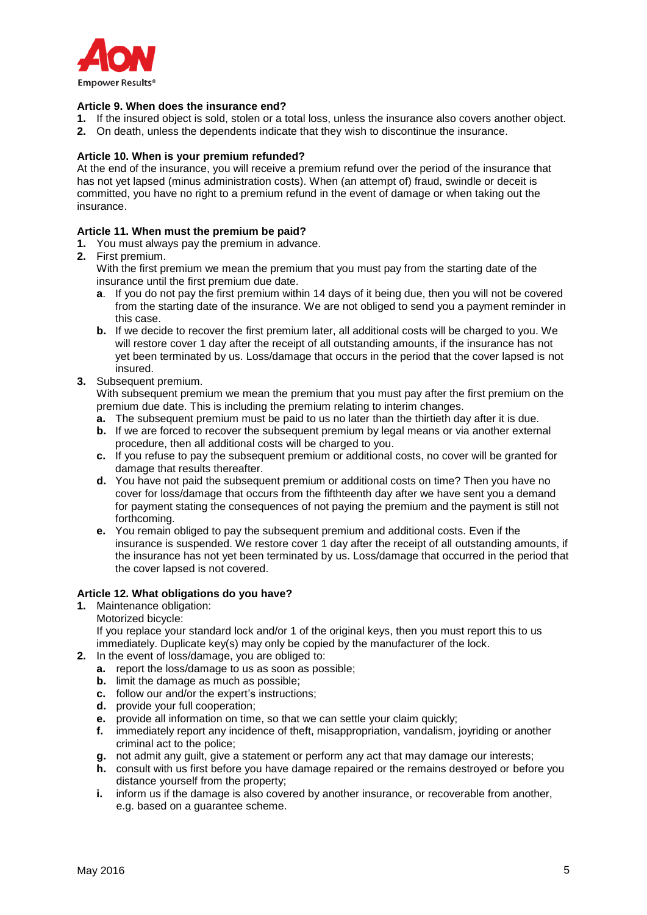

## **Article 9. When does the insurance end?**

- **1.** If the insured object is sold, stolen or a total loss, unless the insurance also covers another object.
- **2.** On death, unless the dependents indicate that they wish to discontinue the insurance.

## **Article 10. When is your premium refunded?**

At the end of the insurance, you will receive a premium refund over the period of the insurance that has not yet lapsed (minus administration costs). When (an attempt of) fraud, swindle or deceit is committed, you have no right to a premium refund in the event of damage or when taking out the insurance.

### **Article 11. When must the premium be paid?**

- **1.** You must always pay the premium in advance.
- **2.** First premium.

With the first premium we mean the premium that you must pay from the starting date of the insurance until the first premium due date.

- **a**. If you do not pay the first premium within 14 days of it being due, then you will not be covered from the starting date of the insurance. We are not obliged to send you a payment reminder in this case.
- **b.** If we decide to recover the first premium later, all additional costs will be charged to you. We will restore cover 1 day after the receipt of all outstanding amounts, if the insurance has not yet been terminated by us. Loss/damage that occurs in the period that the cover lapsed is not insured.

## **3.** Subsequent premium.

With subsequent premium we mean the premium that you must pay after the first premium on the premium due date. This is including the premium relating to interim changes.

- **a.** The subsequent premium must be paid to us no later than the thirtieth day after it is due.
- **b.** If we are forced to recover the subsequent premium by legal means or via another external procedure, then all additional costs will be charged to you.
- **c.** If you refuse to pay the subsequent premium or additional costs, no cover will be granted for damage that results thereafter.
- **d.** You have not paid the subsequent premium or additional costs on time? Then you have no cover for loss/damage that occurs from the fifthteenth day after we have sent you a demand for payment stating the consequences of not paying the premium and the payment is still not forthcoming.
- **e.** You remain obliged to pay the subsequent premium and additional costs. Even if the insurance is suspended. We restore cover 1 day after the receipt of all outstanding amounts, if the insurance has not yet been terminated by us. Loss/damage that occurred in the period that the cover lapsed is not covered.

## **Article 12. What obligations do you have?**

**1.** Maintenance obligation:

Motorized bicycle:

If you replace your standard lock and/or 1 of the original keys, then you must report this to us immediately. Duplicate key(s) may only be copied by the manufacturer of the lock.

- **2.** In the event of loss/damage, you are obliged to:
	- **a.** report the loss/damage to us as soon as possible;
	- **b.** limit the damage as much as possible;
	- **c.** follow our and/or the expert's instructions;
	- **d.** provide your full cooperation;
	- **e.** provide all information on time, so that we can settle your claim quickly;
	- **f.** immediately report any incidence of theft, misappropriation, vandalism, joyriding or another criminal act to the police;
	- **g.** not admit any guilt, give a statement or perform any act that may damage our interests;
	- **h.** consult with us first before you have damage repaired or the remains destroyed or before you distance yourself from the property;
	- **i.** inform us if the damage is also covered by another insurance, or recoverable from another, e.g. based on a guarantee scheme.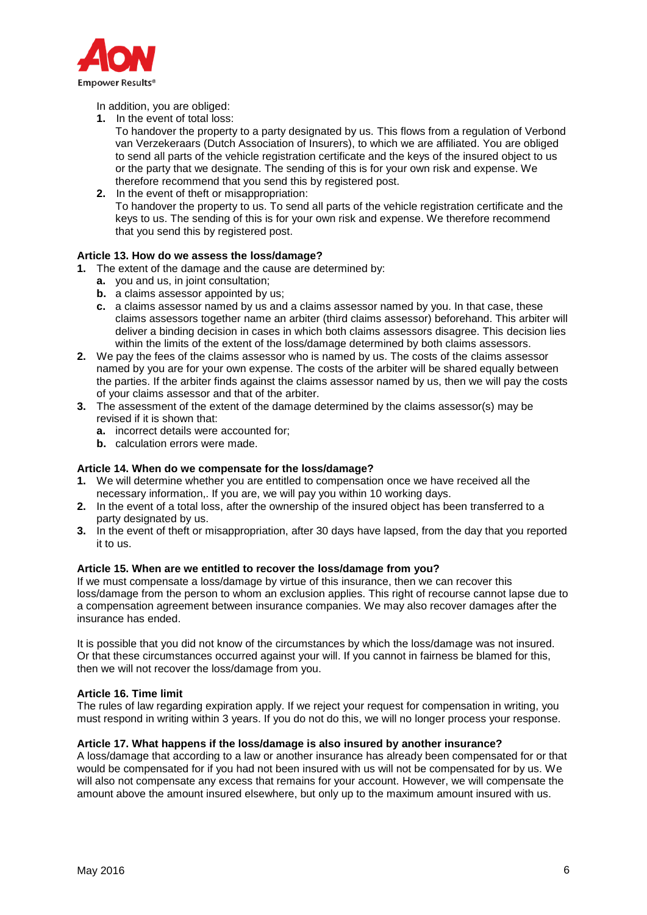

In addition, you are obliged:

**1.** In the event of total loss:

To handover the property to a party designated by us. This flows from a regulation of Verbond van Verzekeraars (Dutch Association of Insurers), to which we are affiliated. You are obliged to send all parts of the vehicle registration certificate and the keys of the insured object to us or the party that we designate. The sending of this is for your own risk and expense. We therefore recommend that you send this by registered post.

**2.** In the event of theft or misappropriation: To handover the property to us. To send all parts of the vehicle registration certificate and the keys to us. The sending of this is for your own risk and expense. We therefore recommend that you send this by registered post.

## **Article 13. How do we assess the loss/damage?**

- **1.** The extent of the damage and the cause are determined by:
	- **a.** you and us, in joint consultation;
	- **b.** a claims assessor appointed by us:
	- **c.** a claims assessor named by us and a claims assessor named by you. In that case, these claims assessors together name an arbiter (third claims assessor) beforehand. This arbiter will deliver a binding decision in cases in which both claims assessors disagree. This decision lies within the limits of the extent of the loss/damage determined by both claims assessors.
- **2.** We pay the fees of the claims assessor who is named by us. The costs of the claims assessor named by you are for your own expense. The costs of the arbiter will be shared equally between the parties. If the arbiter finds against the claims assessor named by us, then we will pay the costs of your claims assessor and that of the arbiter.
- **3.** The assessment of the extent of the damage determined by the claims assessor(s) may be revised if it is shown that:
	- **a.** incorrect details were accounted for;
	- **b.** calculation errors were made.

## **Article 14. When do we compensate for the loss/damage?**

- **1.** We will determine whether you are entitled to compensation once we have received all the necessary information,. If you are, we will pay you within 10 working days.
- **2.** In the event of a total loss, after the ownership of the insured object has been transferred to a party designated by us.
- **3.** In the event of theft or misappropriation, after 30 days have lapsed, from the day that you reported it to us.

## **Article 15. When are we entitled to recover the loss/damage from you?**

If we must compensate a loss/damage by virtue of this insurance, then we can recover this loss/damage from the person to whom an exclusion applies. This right of recourse cannot lapse due to a compensation agreement between insurance companies. We may also recover damages after the insurance has ended.

It is possible that you did not know of the circumstances by which the loss/damage was not insured. Or that these circumstances occurred against your will. If you cannot in fairness be blamed for this, then we will not recover the loss/damage from you.

#### **Article 16. Time limit**

The rules of law regarding expiration apply. If we reject your request for compensation in writing, you must respond in writing within 3 years. If you do not do this, we will no longer process your response.

#### **Article 17. What happens if the loss/damage is also insured by another insurance?**

A loss/damage that according to a law or another insurance has already been compensated for or that would be compensated for if you had not been insured with us will not be compensated for by us. We will also not compensate any excess that remains for your account. However, we will compensate the amount above the amount insured elsewhere, but only up to the maximum amount insured with us.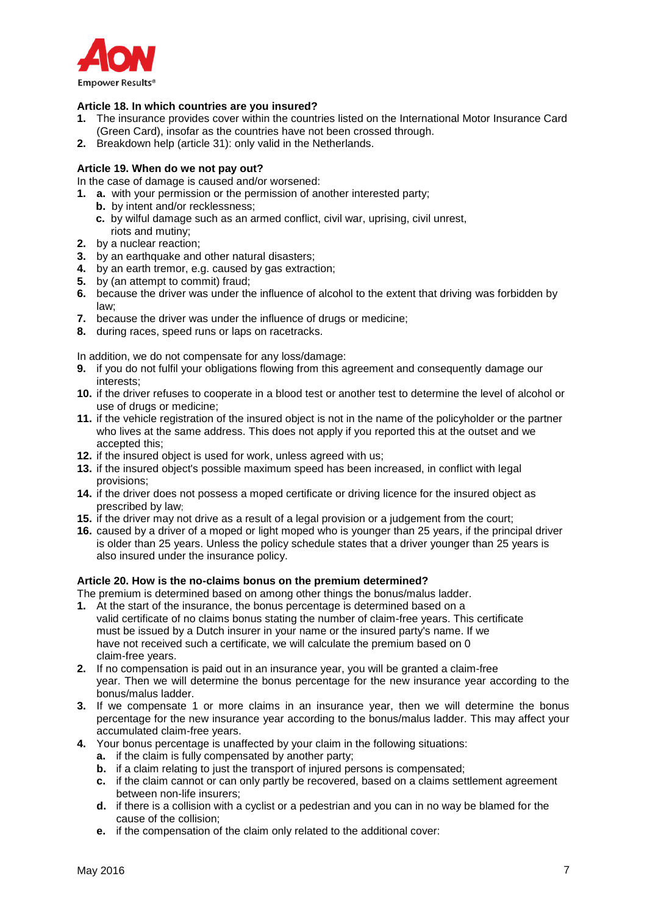

## **Article 18. In which countries are you insured?**

- **1.** The insurance provides cover within the countries listed on the International Motor Insurance Card (Green Card), insofar as the countries have not been crossed through.
- **2.** Breakdown help (article 31): only valid in the Netherlands.

## **Article 19. When do we not pay out?**

In the case of damage is caused and/or worsened:

- **1. a.** with your permission or the permission of another interested party;
	- **b.** by intent and/or recklessness;
	- **c.** by wilful damage such as an armed conflict, civil war, uprising, civil unrest, riots and mutiny;
- **2.** by a nuclear reaction;
- **3.** by an earthquake and other natural disasters;
- **4.** by an earth tremor, e.g. caused by gas extraction;
- **5.** by (an attempt to commit) fraud;
- **6.** because the driver was under the influence of alcohol to the extent that driving was forbidden by law;
- **7.** because the driver was under the influence of drugs or medicine;
- **8.** during races, speed runs or laps on racetracks.

In addition, we do not compensate for any loss/damage:

- **9.** if you do not fulfil your obligations flowing from this agreement and consequently damage our interests;
- **10.** if the driver refuses to cooperate in a blood test or another test to determine the level of alcohol or use of drugs or medicine;
- **11.** if the vehicle registration of the insured object is not in the name of the policyholder or the partner who lives at the same address. This does not apply if you reported this at the outset and we accepted this;
- **12.** if the insured object is used for work, unless agreed with us;
- **13.** if the insured object's possible maximum speed has been increased, in conflict with legal provisions;
- **14.** if the driver does not possess a moped certificate or driving licence for the insured object as prescribed by law;
- **15.** if the driver may not drive as a result of a legal provision or a judgement from the court;
- **16.** caused by a driver of a moped or light moped who is younger than 25 years, if the principal driver is older than 25 years. Unless the policy schedule states that a driver younger than 25 years is also insured under the insurance policy.

## **Article 20. How is the no-claims bonus on the premium determined?**

The premium is determined based on among other things the bonus/malus ladder.

- **1.** At the start of the insurance, the bonus percentage is determined based on a valid certificate of no claims bonus stating the number of claim-free years. This certificate must be issued by a Dutch insurer in your name or the insured party's name. If we have not received such a certificate, we will calculate the premium based on 0 claim-free years.
- **2.** If no compensation is paid out in an insurance year, you will be granted a claim-free year. Then we will determine the bonus percentage for the new insurance year according to the bonus/malus ladder.
- **3.** If we compensate 1 or more claims in an insurance year, then we will determine the bonus percentage for the new insurance year according to the bonus/malus ladder. This may affect your accumulated claim-free years.
- **4.** Your bonus percentage is unaffected by your claim in the following situations:
	- **a.** if the claim is fully compensated by another party;
	- **b.** if a claim relating to just the transport of injured persons is compensated;
	- **c.** if the claim cannot or can only partly be recovered, based on a claims settlement agreement between non-life insurers;
	- **d.** if there is a collision with a cyclist or a pedestrian and you can in no way be blamed for the cause of the collision;
	- **e.** if the compensation of the claim only related to the additional cover: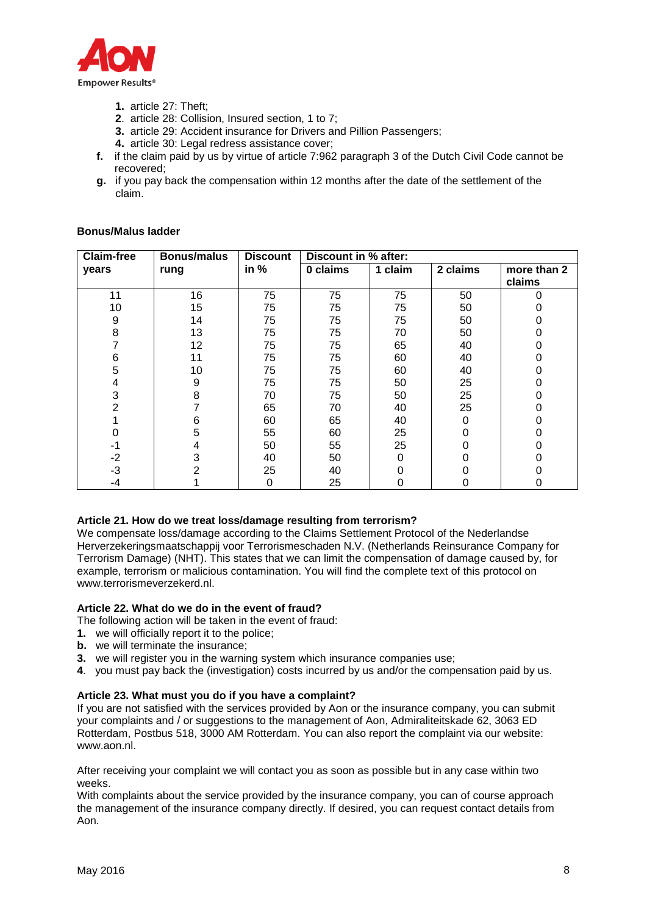

- **1.** article 27: Theft;
- . article 28: Collision, Insured section, 1 to 7;
- **3.** article 29: Accident insurance for Drivers and Pillion Passengers;
- **4.** article 30: Legal redress assistance cover;
- **f.** if the claim paid by us by virtue of article 7:962 paragraph 3 of the Dutch Civil Code cannot be recovered;
- **g.** if you pay back the compensation within 12 months after the date of the settlement of the claim.

#### **Bonus/Malus ladder**

| <b>Claim-free</b> | <b>Bonus/malus</b> | <b>Discount</b> | Discount in % after: |         |          |             |
|-------------------|--------------------|-----------------|----------------------|---------|----------|-------------|
| years             | rung               | in %            | 0 claims             | 1 claim | 2 claims | more than 2 |
|                   |                    |                 |                      |         |          | claims      |
| 11                | 16                 | 75              | 75                   | 75      | 50       |             |
| 10                | 15                 | 75              | 75                   | 75      | 50       |             |
| 9                 | 14                 | 75              | 75                   | 75      | 50       |             |
| 8                 | 13                 | 75              | 75                   | 70      | 50       |             |
|                   | 12                 | 75              | 75                   | 65      | 40       | 0           |
| 6                 | 11                 | 75              | 75                   | 60      | 40       | 0           |
| 5                 | 10                 | 75              | 75                   | 60      | 40       |             |
| 4                 | 9                  | 75              | 75                   | 50      | 25       |             |
| 3                 | 8                  | 70              | 75                   | 50      | 25       |             |
| 2                 |                    | 65              | 70                   | 40      | 25       |             |
|                   | 6                  | 60              | 65                   | 40      | 0        |             |
|                   | 5                  | 55              | 60                   | 25      | 0        |             |
| -1                | 4                  | 50              | 55                   | 25      | Ω        |             |
| $-2$              | 3                  | 40              | 50                   | 0       |          |             |
| -3                |                    | 25              | 40                   |         |          |             |
| -4                |                    | $\Omega$        | 25                   | 0       | 0        |             |

## **Article 21. How do we treat loss/damage resulting from terrorism?**

We compensate loss/damage according to the Claims Settlement Protocol of the Nederlandse Herverzekeringsmaatschappij voor Terrorismeschaden N.V. (Netherlands Reinsurance Company for Terrorism Damage) (NHT). This states that we can limit the compensation of damage caused by, for example, terrorism or malicious contamination. You will find the complete text of this protocol on [www.terrorismeverzekerd.nl.](http://www.terrorismeverzekerd.nl/)

#### **Article 22. What do we do in the event of fraud?**

The following action will be taken in the event of fraud:

- **1.** we will officially report it to the police;
- **b.** we will terminate the insurance;
- **3.** we will register you in the warning system which insurance companies use;
- . you must pay back the (investigation) costs incurred by us and/or the compensation paid by us.

#### **Article 23. What must you do if you have a complaint?**

If you are not satisfied with the services provided by Aon or the insurance company, you can submit your complaints and / or suggestions to the management of Aon, Admiraliteitskade 62, 3063 ED Rotterdam, Postbus 518, 3000 AM Rotterdam. You can also report the complaint via our website: www.aon.nl.

After receiving your complaint we will contact you as soon as possible but in any case within two weeks.

With complaints about the service provided by the insurance company, you can of course approach the management of the insurance company directly. If desired, you can request contact details from Aon.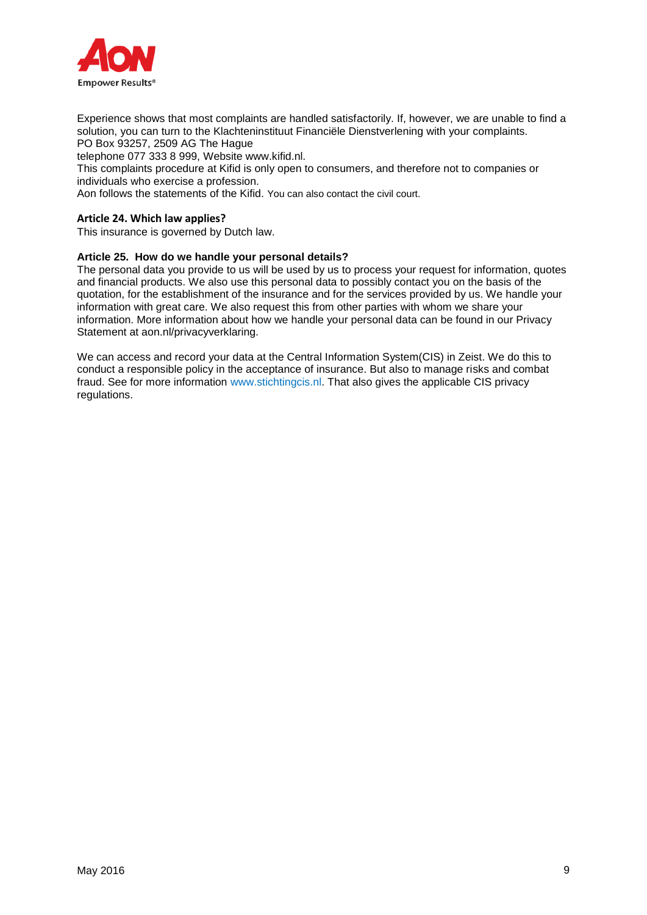

Experience shows that most complaints are handled satisfactorily. If, however, we are unable to find a solution, you can turn to the Klachteninstituut Financiële Dienstverlening with your complaints. PO Box 93257, 2509 AG The Hague

telephone 077 333 8 999, Website www.kifid.nl.

This complaints procedure at Kifid is only open to consumers, and therefore not to companies or individuals who exercise a profession.

Aon follows the statements of the Kifid. You can also contact the civil court.

### **Article 24. Which law applies?**

This insurance is governed by Dutch law.

# **Article 25. How do we handle your personal details?**

The personal data you provide to us will be used by us to process your request for information, quotes and financial products. We also use this personal data to possibly contact you on the basis of the quotation, for the establishment of the insurance and for the services provided by us. We handle your information with great care. We also request this from other parties with whom we share your information. More information about how we handle your personal data can be found in our Privacy Statement at aon.nl/privacyverklaring.

We can access and record your data at the Central Information System(CIS) in Zeist. We do this to conduct a responsible policy in the acceptance of insurance. But also to manage risks and combat fraud. See for more information www.stichtingcis.nl. That also gives the applicable CIS privacy regulations.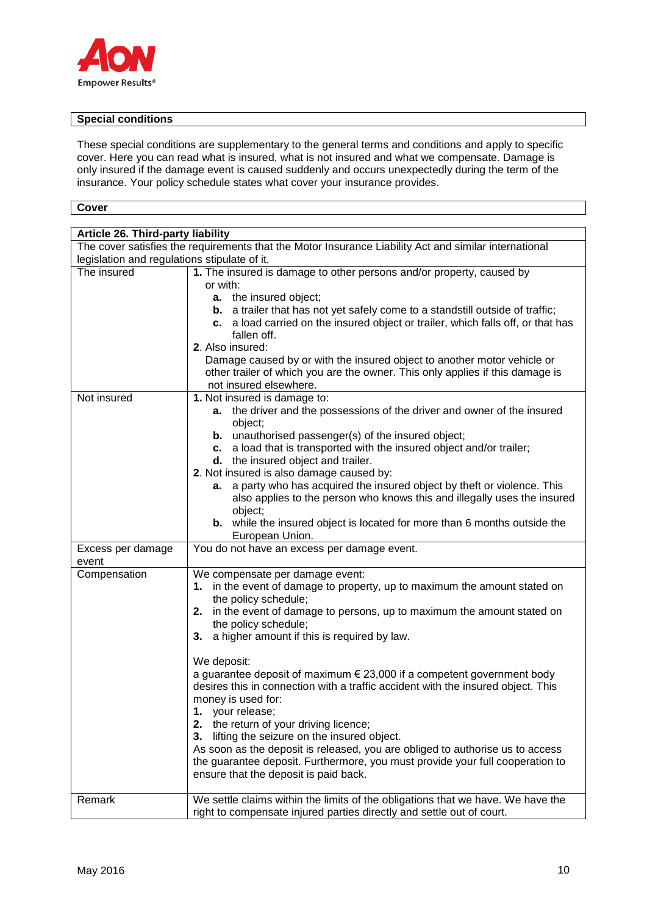

## **Special conditions**

These special conditions are supplementary to the general terms and conditions and apply to specific cover. Here you can read what is insured, what is not insured and what we compensate. Damage is only insured if the damage event is caused suddenly and occurs unexpectedly during the term of the insurance. Your policy schedule states what cover your insurance provides.

**Cover**

| Article 26. Third-party liability<br>The cover satisfies the requirements that the Motor Insurance Liability Act and similar international |                                                                                                                                                                                                                                                                                                                                                                                                                                                                                                                                                                                                                                                                                                                                                                                                                                                 |  |  |
|--------------------------------------------------------------------------------------------------------------------------------------------|-------------------------------------------------------------------------------------------------------------------------------------------------------------------------------------------------------------------------------------------------------------------------------------------------------------------------------------------------------------------------------------------------------------------------------------------------------------------------------------------------------------------------------------------------------------------------------------------------------------------------------------------------------------------------------------------------------------------------------------------------------------------------------------------------------------------------------------------------|--|--|
|                                                                                                                                            | legislation and regulations stipulate of it.                                                                                                                                                                                                                                                                                                                                                                                                                                                                                                                                                                                                                                                                                                                                                                                                    |  |  |
| The insured                                                                                                                                | 1. The insured is damage to other persons and/or property, caused by<br>or with:<br>a. the insured object;<br><b>b.</b> a trailer that has not yet safely come to a standstill outside of traffic;<br>c. a load carried on the insured object or trailer, which falls off, or that has<br>fallen off.<br>2. Also insured:<br>Damage caused by or with the insured object to another motor vehicle or<br>other trailer of which you are the owner. This only applies if this damage is                                                                                                                                                                                                                                                                                                                                                           |  |  |
|                                                                                                                                            | not insured elsewhere.                                                                                                                                                                                                                                                                                                                                                                                                                                                                                                                                                                                                                                                                                                                                                                                                                          |  |  |
| Not insured                                                                                                                                | 1. Not insured is damage to:<br>a. the driver and the possessions of the driver and owner of the insured<br>object;<br><b>b.</b> unauthorised passenger(s) of the insured object;<br>c. a load that is transported with the insured object and/or trailer;<br>d. the insured object and trailer.<br>2. Not insured is also damage caused by:<br>a party who has acquired the insured object by theft or violence. This<br>а.<br>also applies to the person who knows this and illegally uses the insured<br>object;<br><b>b.</b> while the insured object is located for more than 6 months outside the<br>European Union.                                                                                                                                                                                                                      |  |  |
| Excess per damage<br>event                                                                                                                 | You do not have an excess per damage event.                                                                                                                                                                                                                                                                                                                                                                                                                                                                                                                                                                                                                                                                                                                                                                                                     |  |  |
| Compensation                                                                                                                               | We compensate per damage event:<br>in the event of damage to property, up to maximum the amount stated on<br>1.<br>the policy schedule;<br>2. in the event of damage to persons, up to maximum the amount stated on<br>the policy schedule;<br>a higher amount if this is required by law.<br>3.<br>We deposit:<br>a guarantee deposit of maximum $\epsilon$ 23,000 if a competent government body<br>desires this in connection with a traffic accident with the insured object. This<br>money is used for:<br>your release;<br>1.<br>the return of your driving licence;<br>2.<br>lifting the seizure on the insured object.<br>3.<br>As soon as the deposit is released, you are obliged to authorise us to access<br>the guarantee deposit. Furthermore, you must provide your full cooperation to<br>ensure that the deposit is paid back. |  |  |
| Remark                                                                                                                                     | We settle claims within the limits of the obligations that we have. We have the<br>right to compensate injured parties directly and settle out of court.                                                                                                                                                                                                                                                                                                                                                                                                                                                                                                                                                                                                                                                                                        |  |  |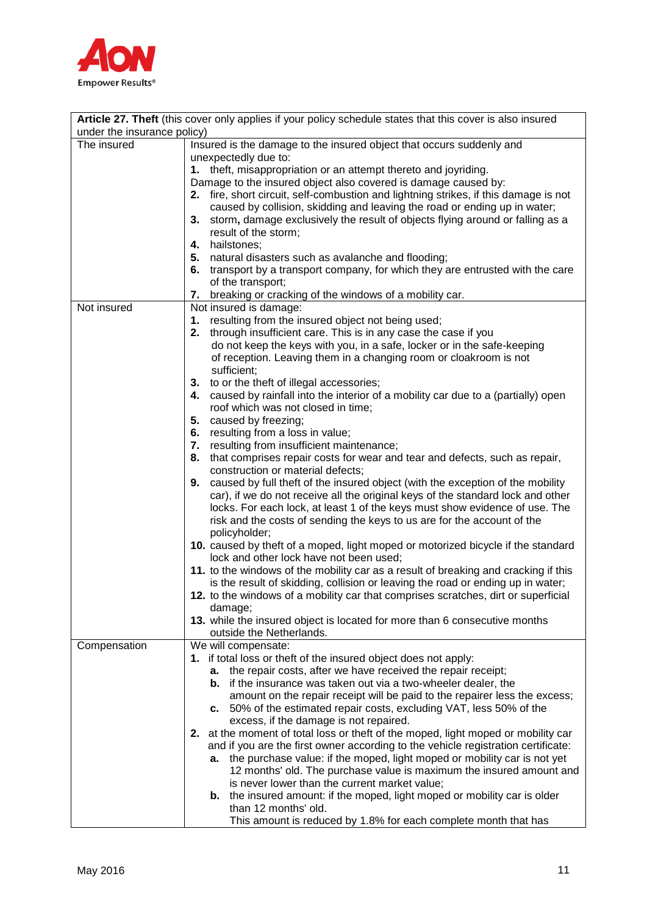

| under the insurance policy) | Article 27. Theft (this cover only applies if your policy schedule states that this cover is also insured                                                     |
|-----------------------------|---------------------------------------------------------------------------------------------------------------------------------------------------------------|
|                             |                                                                                                                                                               |
| The insured                 | Insured is the damage to the insured object that occurs suddenly and                                                                                          |
|                             | unexpectedly due to:                                                                                                                                          |
|                             | 1. theft, misappropriation or an attempt thereto and joyriding.                                                                                               |
|                             | Damage to the insured object also covered is damage caused by:                                                                                                |
|                             | 2. fire, short circuit, self-combustion and lightning strikes, if this damage is not                                                                          |
|                             | caused by collision, skidding and leaving the road or ending up in water;                                                                                     |
|                             | 3. storm, damage exclusively the result of objects flying around or falling as a                                                                              |
|                             | result of the storm;                                                                                                                                          |
|                             | 4. hailstones;                                                                                                                                                |
|                             | natural disasters such as avalanche and flooding;<br>5.                                                                                                       |
|                             | transport by a transport company, for which they are entrusted with the care<br>6.                                                                            |
|                             | of the transport;                                                                                                                                             |
| Not insured                 | breaking or cracking of the windows of a mobility car.<br>7.                                                                                                  |
|                             | Not insured is damage:                                                                                                                                        |
|                             | resulting from the insured object not being used;<br>1.<br>2. through insufficient care. This is in any case the case if you                                  |
|                             | do not keep the keys with you, in a safe, locker or in the safe-keeping                                                                                       |
|                             | of reception. Leaving them in a changing room or cloakroom is not                                                                                             |
|                             | sufficient;                                                                                                                                                   |
|                             | to or the theft of illegal accessories;<br>3.                                                                                                                 |
|                             | caused by rainfall into the interior of a mobility car due to a (partially) open<br>4.                                                                        |
|                             | roof which was not closed in time;                                                                                                                            |
|                             | 5. caused by freezing;                                                                                                                                        |
|                             | resulting from a loss in value;<br>6.                                                                                                                         |
|                             | resulting from insufficient maintenance;<br>7.                                                                                                                |
|                             | that comprises repair costs for wear and tear and defects, such as repair,<br>8.                                                                              |
|                             | construction or material defects;                                                                                                                             |
|                             | caused by full theft of the insured object (with the exception of the mobility<br>9.                                                                          |
|                             | car), if we do not receive all the original keys of the standard lock and other                                                                               |
|                             | locks. For each lock, at least 1 of the keys must show evidence of use. The                                                                                   |
|                             | risk and the costs of sending the keys to us are for the account of the                                                                                       |
|                             | policyholder;                                                                                                                                                 |
|                             | 10. caused by theft of a moped, light moped or motorized bicycle if the standard                                                                              |
|                             | lock and other lock have not been used;                                                                                                                       |
|                             | 11. to the windows of the mobility car as a result of breaking and cracking if this                                                                           |
|                             | is the result of skidding, collision or leaving the road or ending up in water;                                                                               |
|                             | 12. to the windows of a mobility car that comprises scratches, dirt or superficial                                                                            |
|                             | damage;                                                                                                                                                       |
|                             | 13. while the insured object is located for more than 6 consecutive months                                                                                    |
|                             | outside the Netherlands.                                                                                                                                      |
| Compensation                | We will compensate:                                                                                                                                           |
|                             | 1. if total loss or theft of the insured object does not apply:                                                                                               |
|                             | a. the repair costs, after we have received the repair receipt;                                                                                               |
|                             | <b>b.</b> if the insurance was taken out via a two-wheeler dealer, the                                                                                        |
|                             | amount on the repair receipt will be paid to the repairer less the excess;                                                                                    |
|                             | c. 50% of the estimated repair costs, excluding VAT, less 50% of the                                                                                          |
|                             | excess, if the damage is not repaired.                                                                                                                        |
|                             | 2. at the moment of total loss or theft of the moped, light moped or mobility car                                                                             |
|                             | and if you are the first owner according to the vehicle registration certificate:<br>the purchase value: if the moped, light moped or mobility car is not yet |
|                             | а.<br>12 months' old. The purchase value is maximum the insured amount and                                                                                    |
|                             | is never lower than the current market value;                                                                                                                 |
|                             | <b>b.</b> the insured amount: if the moped, light moped or mobility car is older                                                                              |
|                             | than 12 months' old.                                                                                                                                          |
|                             | This amount is reduced by 1.8% for each complete month that has                                                                                               |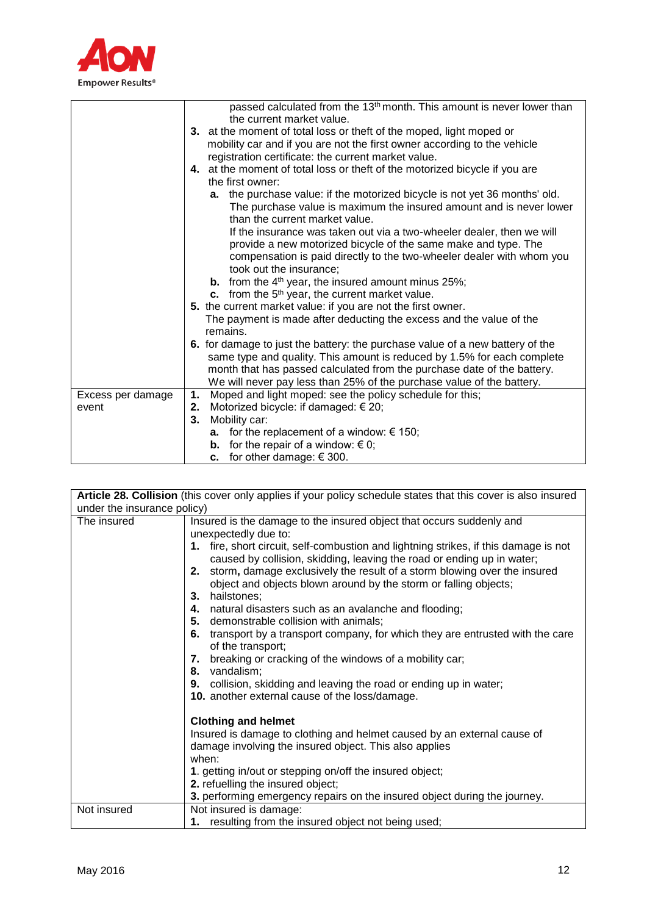

|                   | passed calculated from the 13 <sup>th</sup> month. This amount is never lower than                    |
|-------------------|-------------------------------------------------------------------------------------------------------|
|                   | the current market value.                                                                             |
|                   | 3. at the moment of total loss or theft of the moped, light moped or                                  |
|                   | mobility car and if you are not the first owner according to the vehicle                              |
|                   | registration certificate: the current market value.                                                   |
|                   | 4. at the moment of total loss or theft of the motorized bicycle if you are                           |
|                   | the first owner:                                                                                      |
|                   | a. the purchase value: if the motorized bicycle is not yet 36 months' old.                            |
|                   | The purchase value is maximum the insured amount and is never lower<br>than the current market value. |
|                   | If the insurance was taken out via a two-wheeler dealer, then we will                                 |
|                   | provide a new motorized bicycle of the same make and type. The                                        |
|                   | compensation is paid directly to the two-wheeler dealer with whom you                                 |
|                   | took out the insurance;                                                                               |
|                   | <b>b.</b> from the $4th$ year, the insured amount minus 25%;                                          |
|                   | c. from the $5th$ year, the current market value.                                                     |
|                   | 5. the current market value: if you are not the first owner.                                          |
|                   | The payment is made after deducting the excess and the value of the                                   |
|                   | remains.                                                                                              |
|                   | 6. for damage to just the battery: the purchase value of a new battery of the                         |
|                   | same type and quality. This amount is reduced by 1.5% for each complete                               |
|                   | month that has passed calculated from the purchase date of the battery.                               |
|                   | We will never pay less than 25% of the purchase value of the battery.                                 |
| Excess per damage | Moped and light moped: see the policy schedule for this;<br>1.                                        |
| event             | Motorized bicycle: if damaged: € 20;<br>2.                                                            |
|                   | Mobility car:<br>3.                                                                                   |
|                   | for the replacement of a window: $\epsilon$ 150;<br>а.                                                |
|                   | <b>b.</b> for the repair of a window: $\in$ 0;                                                        |
|                   | <b>c.</b> for other damage: € 300.                                                                    |

|                                            | Article 28. Collision (this cover only applies if your policy schedule states that this cover is also insured                                                                                                                                                                                                                                                                                                                                                                                                                                                                                                                                                                                                                                                                                                                                                                                                                                                                                                                                      |
|--------------------------------------------|----------------------------------------------------------------------------------------------------------------------------------------------------------------------------------------------------------------------------------------------------------------------------------------------------------------------------------------------------------------------------------------------------------------------------------------------------------------------------------------------------------------------------------------------------------------------------------------------------------------------------------------------------------------------------------------------------------------------------------------------------------------------------------------------------------------------------------------------------------------------------------------------------------------------------------------------------------------------------------------------------------------------------------------------------|
|                                            |                                                                                                                                                                                                                                                                                                                                                                                                                                                                                                                                                                                                                                                                                                                                                                                                                                                                                                                                                                                                                                                    |
| under the insurance policy)<br>The insured | Insured is the damage to the insured object that occurs suddenly and<br>unexpectedly due to:<br>1. fire, short circuit, self-combustion and lightning strikes, if this damage is not<br>caused by collision, skidding, leaving the road or ending up in water;<br>storm, damage exclusively the result of a storm blowing over the insured<br>2.<br>object and objects blown around by the storm or falling objects;<br>3. hailstones;<br>natural disasters such as an avalanche and flooding;<br>4.<br>5. demonstrable collision with animals;<br>transport by a transport company, for which they are entrusted with the care<br>6.<br>of the transport;<br>breaking or cracking of the windows of a mobility car;<br>7.<br>vandalism;<br>8.<br>9. collision, skidding and leaving the road or ending up in water;<br>10. another external cause of the loss/damage.<br><b>Clothing and helmet</b><br>Insured is damage to clothing and helmet caused by an external cause of<br>damage involving the insured object. This also applies<br>when: |
|                                            | 1. getting in/out or stepping on/off the insured object;                                                                                                                                                                                                                                                                                                                                                                                                                                                                                                                                                                                                                                                                                                                                                                                                                                                                                                                                                                                           |
|                                            | 2. refuelling the insured object;                                                                                                                                                                                                                                                                                                                                                                                                                                                                                                                                                                                                                                                                                                                                                                                                                                                                                                                                                                                                                  |
|                                            | 3. performing emergency repairs on the insured object during the journey.                                                                                                                                                                                                                                                                                                                                                                                                                                                                                                                                                                                                                                                                                                                                                                                                                                                                                                                                                                          |
| Not insured                                | Not insured is damage:                                                                                                                                                                                                                                                                                                                                                                                                                                                                                                                                                                                                                                                                                                                                                                                                                                                                                                                                                                                                                             |
|                                            | 1. resulting from the insured object not being used;                                                                                                                                                                                                                                                                                                                                                                                                                                                                                                                                                                                                                                                                                                                                                                                                                                                                                                                                                                                               |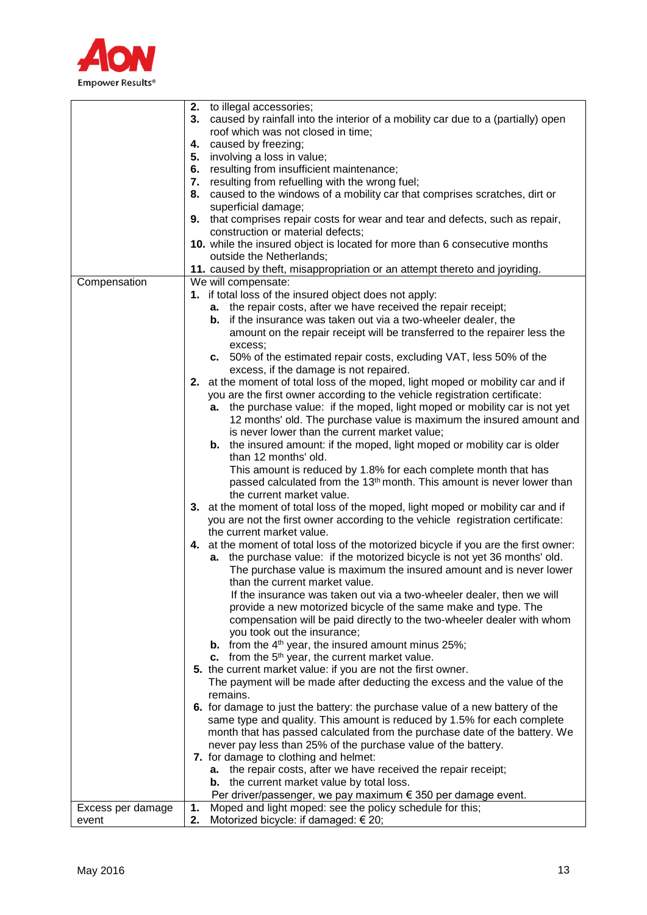

|                   | 2. to illegal accessories;                                                          |
|-------------------|-------------------------------------------------------------------------------------|
|                   | 3. caused by rainfall into the interior of a mobility car due to a (partially) open |
|                   | roof which was not closed in time;                                                  |
|                   | 4. caused by freezing;                                                              |
|                   | involving a loss in value;<br>5.                                                    |
|                   | resulting from insufficient maintenance;<br>6.                                      |
|                   | 7. resulting from refuelling with the wrong fuel;                                   |
|                   | 8.<br>caused to the windows of a mobility car that comprises scratches, dirt or     |
|                   | superficial damage;                                                                 |
|                   | 9. that comprises repair costs for wear and tear and defects, such as repair,       |
|                   | construction or material defects;                                                   |
|                   | 10. while the insured object is located for more than 6 consecutive months          |
|                   | outside the Netherlands;                                                            |
|                   | 11. caused by theft, misappropriation or an attempt thereto and joyriding.          |
| Compensation      | We will compensate:                                                                 |
|                   | 1. if total loss of the insured object does not apply:                              |
|                   | a. the repair costs, after we have received the repair receipt;                     |
|                   | <b>b.</b> if the insurance was taken out via a two-wheeler dealer, the              |
|                   | amount on the repair receipt will be transferred to the repairer less the           |
|                   | excess;                                                                             |
|                   | c. 50% of the estimated repair costs, excluding VAT, less 50% of the                |
|                   | excess, if the damage is not repaired.                                              |
|                   | 2. at the moment of total loss of the moped, light moped or mobility car and if     |
|                   | you are the first owner according to the vehicle registration certificate:          |
|                   | the purchase value: if the moped, light moped or mobility car is not yet<br>а.      |
|                   | 12 months' old. The purchase value is maximum the insured amount and                |
|                   | is never lower than the current market value;                                       |
|                   | <b>b.</b> the insured amount: if the moped, light moped or mobility car is older    |
|                   | than 12 months' old.                                                                |
|                   | This amount is reduced by 1.8% for each complete month that has                     |
|                   | passed calculated from the 13 <sup>th</sup> month. This amount is never lower than  |
|                   | the current market value.                                                           |
|                   | 3. at the moment of total loss of the moped, light moped or mobility car and if     |
|                   | you are not the first owner according to the vehicle registration certificate:      |
|                   | the current market value.                                                           |
|                   | 4. at the moment of total loss of the motorized bicycle if you are the first owner: |
|                   | a. the purchase value: if the motorized bicycle is not yet 36 months' old.          |
|                   | The purchase value is maximum the insured amount and is never lower                 |
|                   | than the current market value.                                                      |
|                   | If the insurance was taken out via a two-wheeler dealer, then we will               |
|                   | provide a new motorized bicycle of the same make and type. The                      |
|                   | compensation will be paid directly to the two-wheeler dealer with whom              |
|                   | you took out the insurance;                                                         |
|                   | <b>b.</b> from the $4th$ year, the insured amount minus 25%;                        |
|                   | c. from the $5th$ year, the current market value.                                   |
|                   | 5. the current market value: if you are not the first owner.                        |
|                   | The payment will be made after deducting the excess and the value of the            |
|                   | remains.                                                                            |
|                   | 6. for damage to just the battery: the purchase value of a new battery of the       |
|                   | same type and quality. This amount is reduced by 1.5% for each complete             |
|                   | month that has passed calculated from the purchase date of the battery. We          |
|                   | never pay less than 25% of the purchase value of the battery.                       |
|                   | 7. for damage to clothing and helmet:                                               |
|                   | a. the repair costs, after we have received the repair receipt;                     |
|                   | <b>b.</b> the current market value by total loss.                                   |
|                   | Per driver/passenger, we pay maximum $\epsilon$ 350 per damage event.               |
| Excess per damage | Moped and light moped: see the policy schedule for this;<br>1.                      |
| event             | Motorized bicycle: if damaged: $\in$ 20;<br>2.                                      |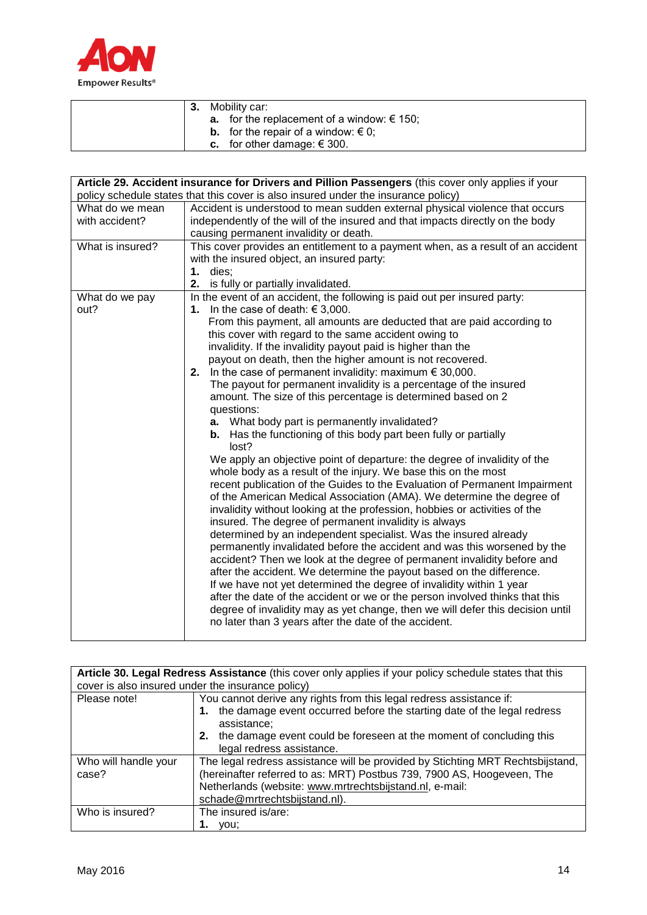

|  | Mobility car:                                     |
|--|---------------------------------------------------|
|  | <b>a.</b> for the replacement of a window: € 150; |
|  | <b>b.</b> for the repair of a window: $\in$ 0;    |
|  | <b>c.</b> for other damage: $\in$ 300.            |

|                  | Article 29. Accident insurance for Drivers and Pillion Passengers (this cover only applies if your |
|------------------|----------------------------------------------------------------------------------------------------|
|                  | policy schedule states that this cover is also insured under the insurance policy)                 |
| What do we mean  | Accident is understood to mean sudden external physical violence that occurs                       |
| with accident?   | independently of the will of the insured and that impacts directly on the body                     |
|                  | causing permanent invalidity or death.                                                             |
| What is insured? | This cover provides an entitlement to a payment when, as a result of an accident                   |
|                  | with the insured object, an insured party:                                                         |
|                  | $1.$ dies:                                                                                         |
|                  | 2.<br>is fully or partially invalidated.                                                           |
| What do we pay   | In the event of an accident, the following is paid out per insured party:                          |
| out?             | In the case of death: $\in$ 3,000.<br>1.                                                           |
|                  | From this payment, all amounts are deducted that are paid according to                             |
|                  | this cover with regard to the same accident owing to                                               |
|                  | invalidity. If the invalidity payout paid is higher than the                                       |
|                  | payout on death, then the higher amount is not recovered.                                          |
|                  | 2. In the case of permanent invalidity: maximum $\epsilon$ 30,000.                                 |
|                  | The payout for permanent invalidity is a percentage of the insured                                 |
|                  | amount. The size of this percentage is determined based on 2                                       |
|                  | questions:<br>a. What body part is permanently invalidated?                                        |
|                  | <b>b.</b> Has the functioning of this body part been fully or partially                            |
|                  | lost?                                                                                              |
|                  | We apply an objective point of departure: the degree of invalidity of the                          |
|                  | whole body as a result of the injury. We base this on the most                                     |
|                  | recent publication of the Guides to the Evaluation of Permanent Impairment                         |
|                  | of the American Medical Association (AMA). We determine the degree of                              |
|                  | invalidity without looking at the profession, hobbies or activities of the                         |
|                  | insured. The degree of permanent invalidity is always                                              |
|                  | determined by an independent specialist. Was the insured already                                   |
|                  | permanently invalidated before the accident and was this worsened by the                           |
|                  | accident? Then we look at the degree of permanent invalidity before and                            |
|                  | after the accident. We determine the payout based on the difference.                               |
|                  | If we have not yet determined the degree of invalidity within 1 year                               |
|                  | after the date of the accident or we or the person involved thinks that this                       |
|                  | degree of invalidity may as yet change, then we will defer this decision until                     |
|                  | no later than 3 years after the date of the accident.                                              |
|                  |                                                                                                    |

|                               | Article 30. Legal Redress Assistance (this cover only applies if your policy schedule states that this                                                                                                                                                                  |  |  |
|-------------------------------|-------------------------------------------------------------------------------------------------------------------------------------------------------------------------------------------------------------------------------------------------------------------------|--|--|
|                               | cover is also insured under the insurance policy)                                                                                                                                                                                                                       |  |  |
| Please note!                  | You cannot derive any rights from this legal redress assistance if:<br>1. the damage event occurred before the starting date of the legal redress<br>assistance;<br>2. the damage event could be foreseen at the moment of concluding this<br>legal redress assistance. |  |  |
| Who will handle your<br>case? | The legal redress assistance will be provided by Stichting MRT Rechtsbijstand,<br>(hereinafter referred to as: MRT) Postbus 739, 7900 AS, Hoogeveen, The<br>Netherlands (website: www.mrtrechtsbijstand.nl, e-mail:<br>schade@mrtrechtsbijstand.nl).                    |  |  |
| Who is insured?               | The insured is/are:<br>vou:                                                                                                                                                                                                                                             |  |  |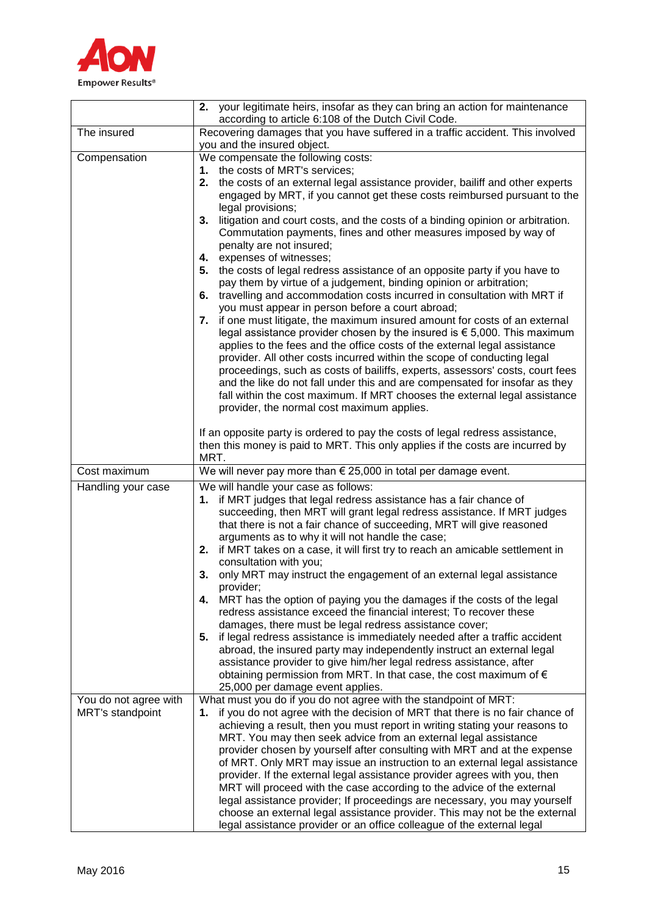

|                         | 2. your legitimate heirs, insofar as they can bring an action for maintenance                                                                                     |
|-------------------------|-------------------------------------------------------------------------------------------------------------------------------------------------------------------|
|                         | according to article 6:108 of the Dutch Civil Code.                                                                                                               |
| The insured             | Recovering damages that you have suffered in a traffic accident. This involved                                                                                    |
|                         | you and the insured object.                                                                                                                                       |
| Compensation            | We compensate the following costs:                                                                                                                                |
|                         | 1. the costs of MRT's services;                                                                                                                                   |
|                         | 2. the costs of an external legal assistance provider, bailiff and other experts                                                                                  |
|                         | engaged by MRT, if you cannot get these costs reimbursed pursuant to the                                                                                          |
|                         | legal provisions;                                                                                                                                                 |
|                         | 3. litigation and court costs, and the costs of a binding opinion or arbitration.<br>Commutation payments, fines and other measures imposed by way of             |
|                         | penalty are not insured;                                                                                                                                          |
|                         | 4. expenses of witnesses;                                                                                                                                         |
|                         | 5. the costs of legal redress assistance of an opposite party if you have to                                                                                      |
|                         | pay them by virtue of a judgement, binding opinion or arbitration;                                                                                                |
|                         | 6. travelling and accommodation costs incurred in consultation with MRT if                                                                                        |
|                         | you must appear in person before a court abroad;                                                                                                                  |
|                         | if one must litigate, the maximum insured amount for costs of an external<br>7.                                                                                   |
|                         | legal assistance provider chosen by the insured is $\epsilon$ 5,000. This maximum                                                                                 |
|                         | applies to the fees and the office costs of the external legal assistance                                                                                         |
|                         | provider. All other costs incurred within the scope of conducting legal<br>proceedings, such as costs of bailiffs, experts, assessors' costs, court fees          |
|                         | and the like do not fall under this and are compensated for insofar as they                                                                                       |
|                         | fall within the cost maximum. If MRT chooses the external legal assistance                                                                                        |
|                         | provider, the normal cost maximum applies.                                                                                                                        |
|                         |                                                                                                                                                                   |
|                         | If an opposite party is ordered to pay the costs of legal redress assistance,                                                                                     |
|                         | then this money is paid to MRT. This only applies if the costs are incurred by                                                                                    |
| Cost maximum            | MRT.<br>We will never pay more than $\epsilon$ 25,000 in total per damage event.                                                                                  |
|                         |                                                                                                                                                                   |
| Handling your case      | We will handle your case as follows:<br>1. if MRT judges that legal redress assistance has a fair chance of                                                       |
|                         | succeeding, then MRT will grant legal redress assistance. If MRT judges                                                                                           |
|                         | that there is not a fair chance of succeeding, MRT will give reasoned                                                                                             |
|                         | arguments as to why it will not handle the case;                                                                                                                  |
|                         | if MRT takes on a case, it will first try to reach an amicable settlement in<br>2.                                                                                |
|                         | consultation with you;                                                                                                                                            |
|                         | 3. only MRT may instruct the engagement of an external legal assistance                                                                                           |
|                         | provider;<br>4.                                                                                                                                                   |
|                         | MRT has the option of paying you the damages if the costs of the legal<br>redress assistance exceed the financial interest; To recover these                      |
|                         | damages, there must be legal redress assistance cover;                                                                                                            |
|                         | if legal redress assistance is immediately needed after a traffic accident<br>5.                                                                                  |
|                         | abroad, the insured party may independently instruct an external legal                                                                                            |
|                         | assistance provider to give him/her legal redress assistance, after                                                                                               |
|                         | obtaining permission from MRT. In that case, the cost maximum of $\epsilon$                                                                                       |
|                         | 25,000 per damage event applies.                                                                                                                                  |
| You do not agree with   | What must you do if you do not agree with the standpoint of MRT:                                                                                                  |
| <b>MRT's standpoint</b> | if you do not agree with the decision of MRT that there is no fair chance of<br>1.<br>achieving a result, then you must report in writing stating your reasons to |
|                         | MRT. You may then seek advice from an external legal assistance                                                                                                   |
|                         | provider chosen by yourself after consulting with MRT and at the expense                                                                                          |
|                         | of MRT. Only MRT may issue an instruction to an external legal assistance                                                                                         |
|                         | provider. If the external legal assistance provider agrees with you, then                                                                                         |
|                         | MRT will proceed with the case according to the advice of the external                                                                                            |
|                         | legal assistance provider; If proceedings are necessary, you may yourself                                                                                         |
|                         | choose an external legal assistance provider. This may not be the external                                                                                        |
|                         | legal assistance provider or an office colleague of the external legal                                                                                            |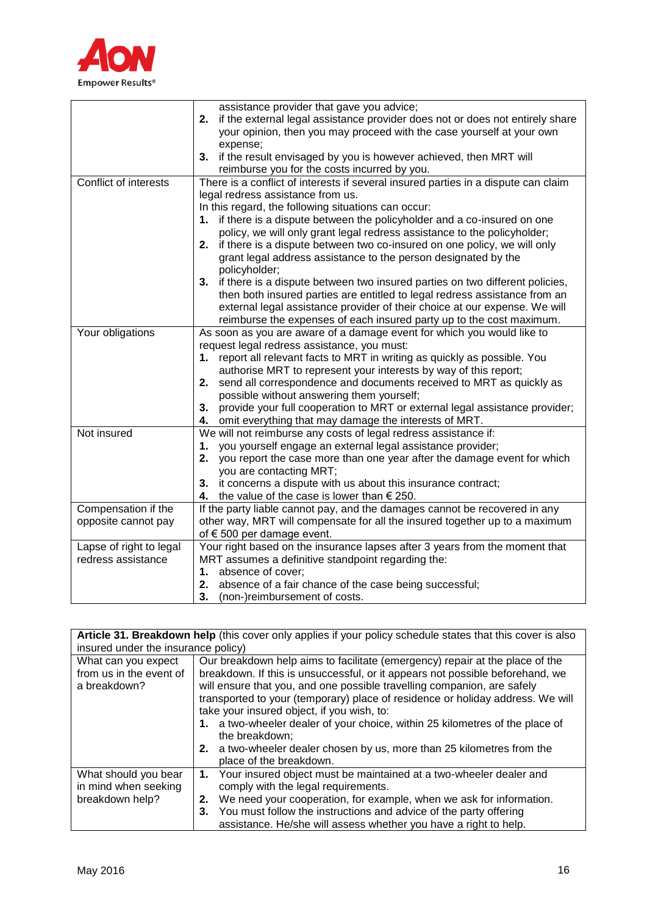

|                         | assistance provider that gave you advice;                                          |
|-------------------------|------------------------------------------------------------------------------------|
|                         | 2. if the external legal assistance provider does not or does not entirely share   |
|                         | your opinion, then you may proceed with the case yourself at your own              |
|                         | expense;                                                                           |
|                         | 3. if the result envisaged by you is however achieved, then MRT will               |
|                         | reimburse you for the costs incurred by you.                                       |
| Conflict of interests   | There is a conflict of interests if several insured parties in a dispute can claim |
|                         | legal redress assistance from us.                                                  |
|                         | In this regard, the following situations can occur:                                |
|                         | if there is a dispute between the policyholder and a co-insured on one<br>1.       |
|                         | policy, we will only grant legal redress assistance to the policyholder;           |
|                         | if there is a dispute between two co-insured on one policy, we will only<br>2.     |
|                         |                                                                                    |
|                         | grant legal address assistance to the person designated by the<br>policyholder;    |
|                         | 3. if there is a dispute between two insured parties on two different policies,    |
|                         | then both insured parties are entitled to legal redress assistance from an         |
|                         | external legal assistance provider of their choice at our expense. We will         |
|                         | reimburse the expenses of each insured party up to the cost maximum.               |
| Your obligations        | As soon as you are aware of a damage event for which you would like to             |
|                         | request legal redress assistance, you must:                                        |
|                         | 1. report all relevant facts to MRT in writing as quickly as possible. You         |
|                         | authorise MRT to represent your interests by way of this report;                   |
|                         | send all correspondence and documents received to MRT as quickly as<br>2.          |
|                         | possible without answering them yourself;                                          |
|                         | provide your full cooperation to MRT or external legal assistance provider;<br>3.  |
|                         | omit everything that may damage the interests of MRT.<br>4.                        |
| Not insured             | We will not reimburse any costs of legal redress assistance if:                    |
|                         | you yourself engage an external legal assistance provider;<br>1.                   |
|                         | you report the case more than one year after the damage event for which<br>2.      |
|                         | you are contacting MRT;                                                            |
|                         | 3. it concerns a dispute with us about this insurance contract;                    |
|                         | the value of the case is lower than $\epsilon$ 250.<br>4.                          |
| Compensation if the     | If the party liable cannot pay, and the damages cannot be recovered in any         |
| opposite cannot pay     | other way, MRT will compensate for all the insured together up to a maximum        |
|                         | of € 500 per damage event.                                                         |
| Lapse of right to legal | Your right based on the insurance lapses after 3 years from the moment that        |
| redress assistance      | MRT assumes a definitive standpoint regarding the:                                 |
|                         | 1. absence of cover;                                                               |
|                         | 2. absence of a fair chance of the case being successful;                          |
|                         | 3.<br>(non-)reimbursement of costs.                                                |

| Article 31. Breakdown help (this cover only applies if your policy schedule states that this cover is also |                                                                                                                                                                                                                                                                                                                                                                                                                                                                                                                                                                                 |  |
|------------------------------------------------------------------------------------------------------------|---------------------------------------------------------------------------------------------------------------------------------------------------------------------------------------------------------------------------------------------------------------------------------------------------------------------------------------------------------------------------------------------------------------------------------------------------------------------------------------------------------------------------------------------------------------------------------|--|
| insured under the insurance policy)                                                                        |                                                                                                                                                                                                                                                                                                                                                                                                                                                                                                                                                                                 |  |
| What can you expect<br>from us in the event of<br>a breakdown?                                             | Our breakdown help aims to facilitate (emergency) repair at the place of the<br>breakdown. If this is unsuccessful, or it appears not possible beforehand, we<br>will ensure that you, and one possible travelling companion, are safely<br>transported to your (temporary) place of residence or holiday address. We will<br>take your insured object, if you wish, to:<br>1. a two-wheeler dealer of your choice, within 25 kilometres of the place of<br>the breakdown;<br>2. a two-wheeler dealer chosen by us, more than 25 kilometres from the<br>place of the breakdown. |  |
| What should you bear<br>in mind when seeking<br>breakdown help?                                            | 1. Your insured object must be maintained at a two-wheeler dealer and<br>comply with the legal requirements.<br>2. We need your cooperation, for example, when we ask for information.<br>3. You must follow the instructions and advice of the party offering<br>assistance. He/she will assess whether you have a right to help.                                                                                                                                                                                                                                              |  |